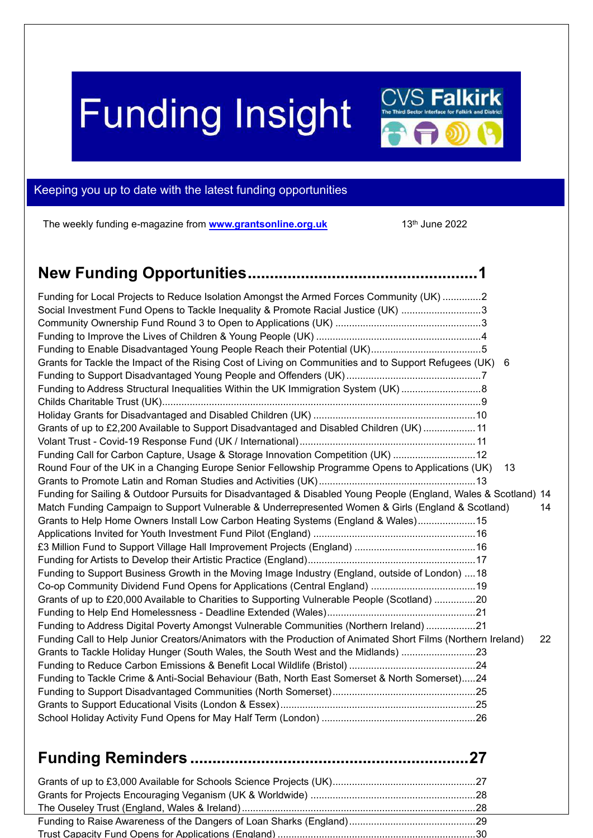# **Funding Insight**

<span id="page-0-0"></span>

The weekly funding e-magazine from **[www.grantsonline.org.uk](http://www.grantsonline.org.uk/)** 13<sup>th</sup> June 2022

 $\mathbb{C}\mathsf{V}\mathsf{S}$  Falkirk

| Funding for Local Projects to Reduce Isolation Amongst the Armed Forces Community (UK) 2                        |    |
|-----------------------------------------------------------------------------------------------------------------|----|
| Social Investment Fund Opens to Tackle Inequality & Promote Racial Justice (UK) 3                               |    |
|                                                                                                                 |    |
|                                                                                                                 |    |
|                                                                                                                 |    |
| Grants for Tackle the Impact of the Rising Cost of Living on Communities and to Support Refugees (UK)           | -6 |
|                                                                                                                 |    |
| Funding to Address Structural Inequalities Within the UK Immigration System (UK) 8                              |    |
|                                                                                                                 |    |
|                                                                                                                 |    |
| Grants of up to £2,200 Available to Support Disadvantaged and Disabled Children (UK)  11                        |    |
|                                                                                                                 |    |
| Funding Call for Carbon Capture, Usage & Storage Innovation Competition (UK) 12                                 |    |
| Round Four of the UK in a Changing Europe Senior Fellowship Programme Opens to Applications (UK)                | 13 |
|                                                                                                                 |    |
| Funding for Sailing & Outdoor Pursuits for Disadvantaged & Disabled Young People (England, Wales & Scotland) 14 |    |
| Match Funding Campaign to Support Vulnerable & Underrepresented Women & Girls (England & Scotland)              | 14 |
| Grants to Help Home Owners Install Low Carbon Heating Systems (England & Wales) 15                              |    |
|                                                                                                                 |    |
|                                                                                                                 |    |
|                                                                                                                 |    |
| Funding to Support Business Growth in the Moving Image Industry (England, outside of London)  18                |    |
| Co-op Community Dividend Fund Opens for Applications (Central England)  19                                      |    |
| Grants of up to £20,000 Available to Charities to Supporting Vulnerable People (Scotland) 20                    |    |
|                                                                                                                 |    |
| Funding to Address Digital Poverty Amongst Vulnerable Communities (Northern Ireland) 21                         |    |
| Funding Call to Help Junior Creators/Animators with the Production of Animated Short Films (Northern Ireland)   | 22 |
| Grants to Tackle Holiday Hunger (South Wales, the South West and the Midlands) 23                               |    |
|                                                                                                                 |    |
| Funding to Tackle Crime & Anti-Social Behaviour (Bath, North East Somerset & North Somerset)24                  |    |
|                                                                                                                 |    |
|                                                                                                                 |    |
|                                                                                                                 |    |
| 27                                                                                                              |    |
|                                                                                                                 |    |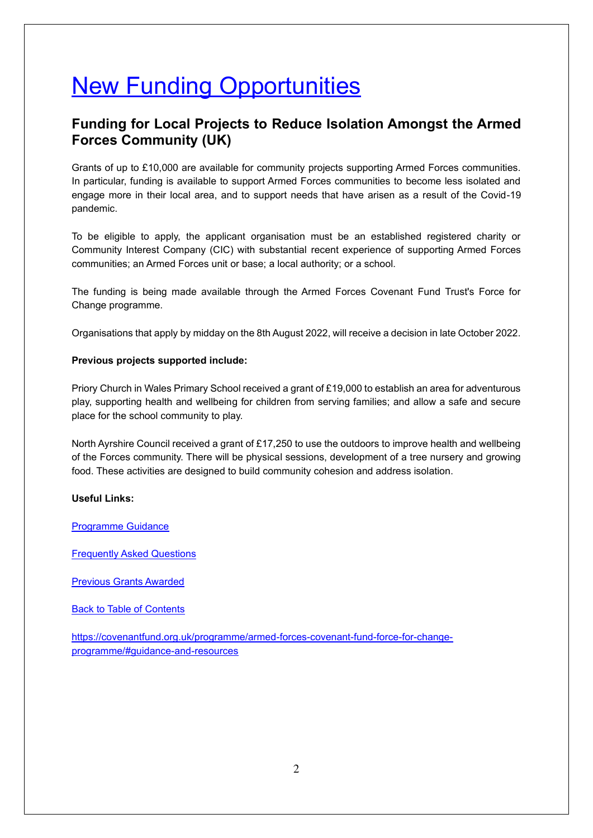## **New Funding Opportunities**

#### <span id="page-1-0"></span>**Funding for Local Projects to Reduce Isolation Amongst the Armed Forces Community (UK)**

Grants of up to £10,000 are available for community projects supporting Armed Forces communities. In particular, funding is available to support Armed Forces communities to become less isolated and engage more in their local area, and to support needs that have arisen as a result of the Covid-19 pandemic.

To be eligible to apply, the applicant organisation must be an established registered charity or Community Interest Company (CIC) with substantial recent experience of supporting Armed Forces communities; an Armed Forces unit or base; a local authority; or a school.

The funding is being made available through the Armed Forces Covenant Fund Trust's Force for Change programme.

Organisations that apply by midday on the 8th August 2022, will receive a decision in late October 2022.

#### **Previous projects supported include:**

Priory Church in Wales Primary School received a grant of £19,000 to establish an area for adventurous play, supporting health and wellbeing for children from serving families; and allow a safe and secure place for the school community to play.

North Ayrshire Council received a grant of £17,250 to use the outdoors to improve health and wellbeing of the Forces community. There will be physical sessions, development of a tree nursery and growing food. These activities are designed to build community cohesion and address isolation.

#### **Useful Links:**

[Programme Guidance](https://covenantfund.org.uk/wp-content/uploads/2020/07/GuidanceFFC2022-23-1.pdf)

[Frequently Asked Questions](https://covenantfund.org.uk/wp-content/uploads/2020/07/FFC_FAQs_2022-23.pdf)

[Previous Grants Awarded](https://covenantfund.org.uk/armed-forces-covenant-fund-force-for-change-programme-projects-weve-funded/)

[Back to Table of Contents](file:///C:/Users/trici/Documents/Funding%20Insight%20Newsletter%206th%20April%202021.docx%23TOC)

[https://covenantfund.org.uk/programme/armed-forces-covenant-fund-force-for-change](https://covenantfund.org.uk/programme/armed-forces-covenant-fund-force-for-change-programme/#guidance-and-resources)[programme/#guidance-and-resources](https://covenantfund.org.uk/programme/armed-forces-covenant-fund-force-for-change-programme/#guidance-and-resources)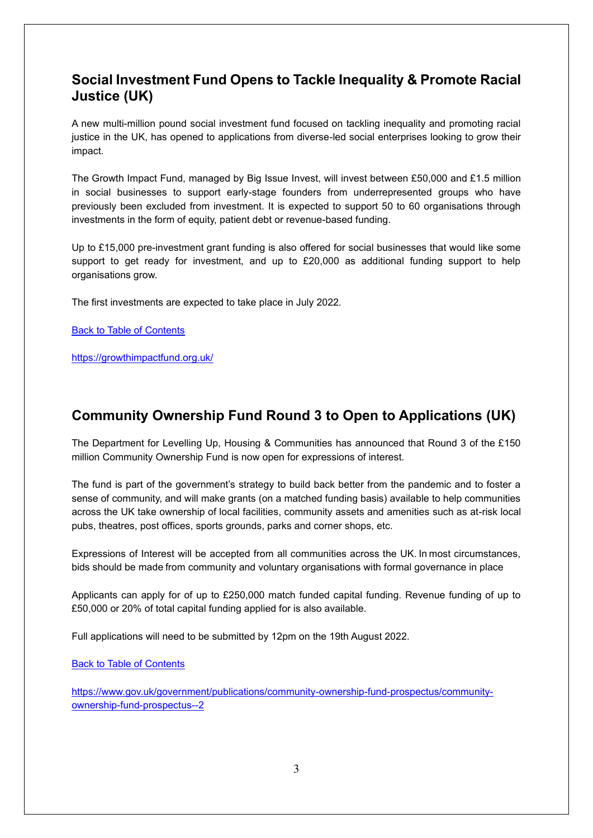## <span id="page-2-0"></span>**Social Investment Fund Opens to Tackle Inequality & Promote Racial Justice (UK)**

A new multi-million pound social investment fund focused on tackling inequality and promoting racial justice in the UK, has opened to applications from diverse-led social enterprises looking to grow their impact.

The Growth Impact Fund, managed by Big Issue Invest, will invest between £50,000 and £1.5 million in social businesses to support early-stage founders from underrepresented groups who have previously been excluded from investment. It is expected to support 50 to 60 organisations through investments in the form of equity, patient debt or revenue-based funding.

Up to £15,000 pre-investment grant funding is also offered for social businesses that would like some support to get ready for investment, and up to £20,000 as additional funding support to help organisations grow.

The first investments are expected to take place in July 2022.

[Back to Table of Contents](file:///C:/Users/trici/Documents/Funding%20Insight%20Newsletter%206th%20April%202021.docx%23TOC)

<https://growthimpactfund.org.uk/>

## <span id="page-2-1"></span>**Community Ownership Fund Round 3 to Open to Applications (UK)**

The Department for Levelling Up, Housing & Communities has announced that Round 3 of the £150 million Community Ownership Fund is now open for expressions of interest.

The fund is part of the government's strategy to build back better from the pandemic and to foster a sense of community, and will make grants (on a matched funding basis) available to help communities across the UK take ownership of local facilities, community assets and amenities such as at-risk local pubs, theatres, post offices, sports grounds, parks and corner shops, etc.

Expressions of Interest will be accepted from all communities across the UK. In most circumstances, bids should be made from community and voluntary organisations with formal governance in place

Applicants can apply for of up to £250,000 match funded capital funding. Revenue funding of up to £50,000 or 20% of total capital funding applied for is also available.

Full applications will need to be submitted by 12pm on the 19th August 2022.

[Back to Table of Contents](file:///C:/Users/trici/Documents/Funding%20Insight%20Newsletter%206th%20April%202021.docx%23TOC)

[https://www.gov.uk/government/publications/community-ownership-fund-prospectus/community](https://www.gov.uk/government/publications/community-ownership-fund-prospectus/community-ownership-fund-prospectus--2)[ownership-fund-prospectus--2](https://www.gov.uk/government/publications/community-ownership-fund-prospectus/community-ownership-fund-prospectus--2)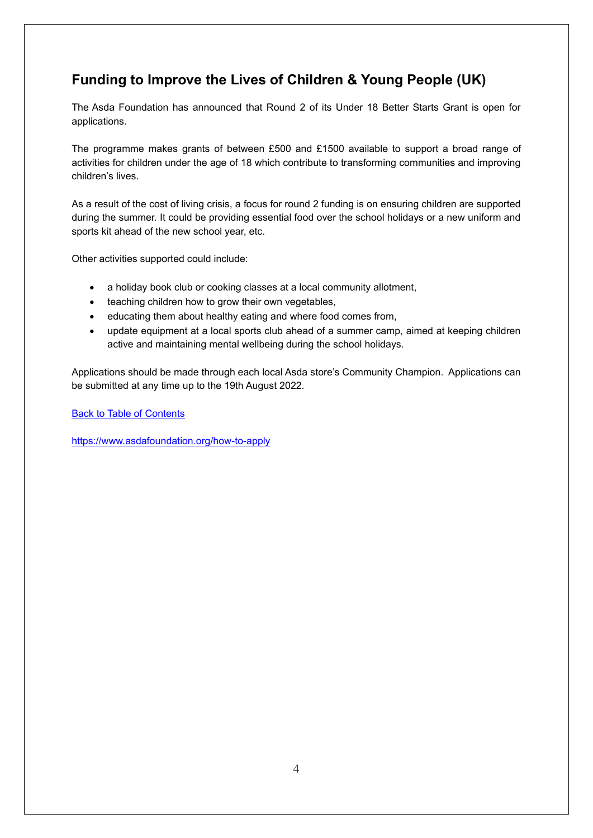## <span id="page-3-0"></span>**Funding to Improve the Lives of Children & Young People (UK)**

The Asda Foundation has announced that Round 2 of its Under 18 Better Starts Grant is open for applications.

The programme makes grants of between £500 and £1500 available to support a broad range of activities for children under the age of 18 which contribute to transforming communities and improving children's lives.

As a result of the cost of living crisis, a focus for round 2 funding is on ensuring children are supported during the summer. It could be providing essential food over the school holidays or a new uniform and sports kit ahead of the new school year, etc.

Other activities supported could include:

- a holiday book club or cooking classes at a local community allotment,
- teaching children how to grow their own vegetables,
- educating them about healthy eating and where food comes from,
- update equipment at a local sports club ahead of a summer camp, aimed at keeping children active and maintaining mental wellbeing during the school holidays.

Applications should be made through each local Asda store's Community Champion. Applications can be submitted at any time up to the 19th August 2022.

[Back to Table of Contents](file:///C:/Users/trici/Documents/Funding%20Insight%20Newsletter%206th%20April%202021.docx%23TOC)

<https://www.asdafoundation.org/how-to-apply>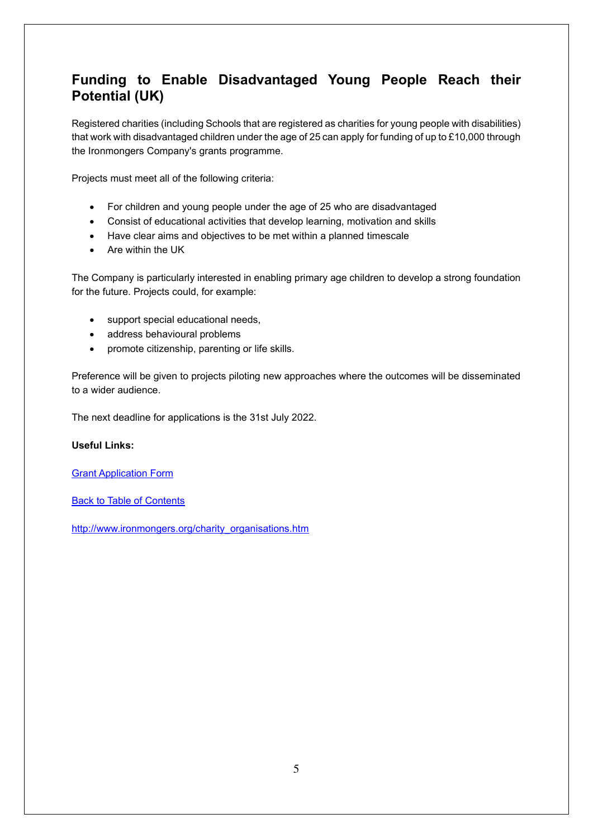## <span id="page-4-0"></span>**Funding to Enable Disadvantaged Young People Reach their Potential (UK)**

Registered charities (including Schools that are registered as charities for young people with disabilities) that work with disadvantaged children under the age of 25 can apply for funding of up to £10,000 through the Ironmongers Company's grants programme.

Projects must meet all of the following criteria:

- For children and young people under the age of 25 who are disadvantaged
- Consist of educational activities that develop learning, motivation and skills
- Have clear aims and objectives to be met within a planned timescale
- Are within the UK

The Company is particularly interested in enabling primary age children to develop a strong foundation for the future. Projects could, for example:

- support special educational needs,
- address behavioural problems
- promote citizenship, parenting or life skills.

Preference will be given to projects piloting new approaches where the outcomes will be disseminated to a wider audience.

The next deadline for applications is the 31st July 2022.

#### **Useful Links:**

[Grant Application Form](https://www.ironmongers.org/charity_grant_application.php)

[Back to Table of Contents](file:///C:/Users/trici/Documents/Funding%20Insight%20Newsletter%206th%20April%202021.docx%23TOC)

[http://www.ironmongers.org/charity\\_organisations.htm](http://www.ironmongers.org/charity_organisations.htm)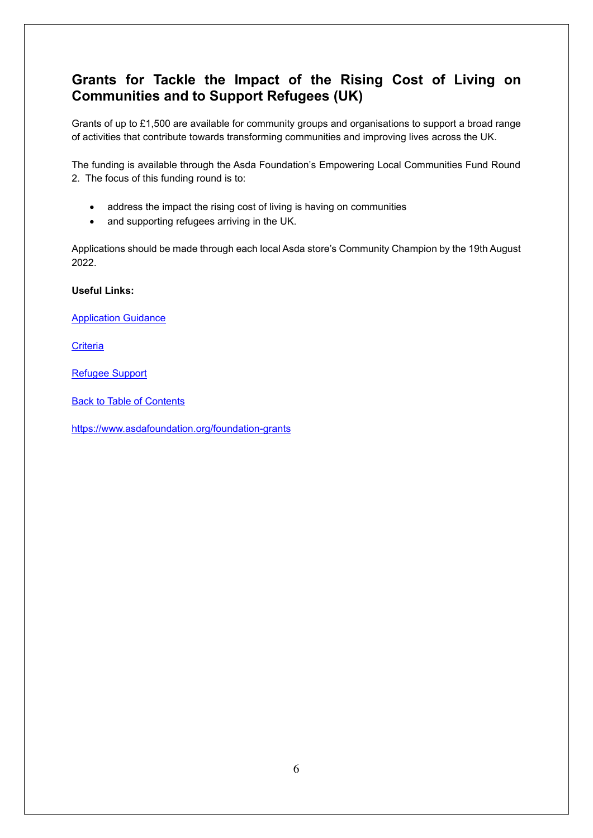## <span id="page-5-0"></span>**Grants for Tackle the Impact of the Rising Cost of Living on Communities and to Support Refugees (UK)**

Grants of up to £1,500 are available for community groups and organisations to support a broad range of activities that contribute towards transforming communities and improving lives across the UK.

The funding is available through the Asda Foundation's Empowering Local Communities Fund Round 2. The focus of this funding round is to:

- address the impact the rising cost of living is having on communities
- and supporting refugees arriving in the UK.

Applications should be made through each local Asda store's Community Champion by the 19th August 2022.

**Useful Links:**

[Application Guidance](https://www.asdafoundation.org/documents/Empowering_Local_Communities_Grant_Round_2_Group_Guidance.pdf)

**[Criteria](https://www.asdafoundation.org/documents/Empowering_Local_Communities_Grant_Round_2_Group_Guidance.pdf)** 

[Refugee Support](https://www.asdafoundation.org/documents/Refugee_Support_Grant_Group_Guidance.pdf)

[Back to Table of Contents](file:///C:/Users/trici/Documents/Funding%20Insight%20Newsletter%206th%20April%202021.docx%23TOC)

<https://www.asdafoundation.org/foundation-grants>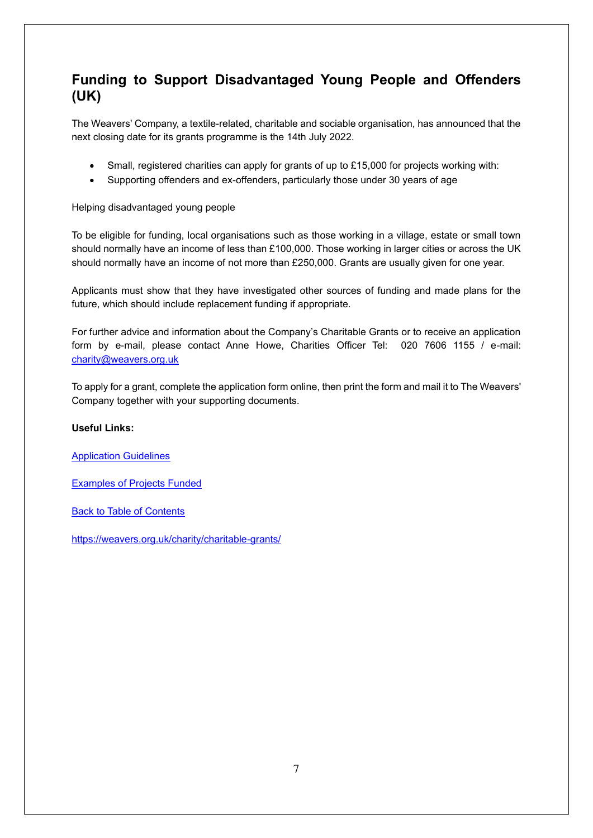## <span id="page-6-0"></span>**Funding to Support Disadvantaged Young People and Offenders (UK)**

The Weavers' Company, a textile-related, charitable and sociable organisation, has announced that the next closing date for its grants programme is the 14th July 2022.

- Small, registered charities can apply for grants of up to £15,000 for projects working with:
- Supporting offenders and ex-offenders, particularly those under 30 years of age

Helping disadvantaged young people

To be eligible for funding, local organisations such as those working in a village, estate or small town should normally have an income of less than £100,000. Those working in larger cities or across the UK should normally have an income of not more than £250,000. Grants are usually given for one year.

Applicants must show that they have investigated other sources of funding and made plans for the future, which should include replacement funding if appropriate.

For further advice and information about the Company's Charitable Grants or to receive an application form by e-mail, please contact Anne Howe, Charities Officer Tel: 020 7606 1155 / e-mail: [charity@weavers.org.uk](mailto:charity@weavers.org.uk)

To apply for a grant, complete the application form online, then print the form and mail it to The Weavers' Company together with your supporting documents.

#### **Useful Links:**

[Application Guidelines](https://weavers.org.uk/charity/charitable-grants/guidelines/)

[Examples of Projects Funded](https://weavers.org.uk/charities/)

[Back to Table of Contents](file:///C:/Users/trici/Documents/Funding%20Insight%20Newsletter%206th%20April%202021.docx%23TOC)

<https://weavers.org.uk/charity/charitable-grants/>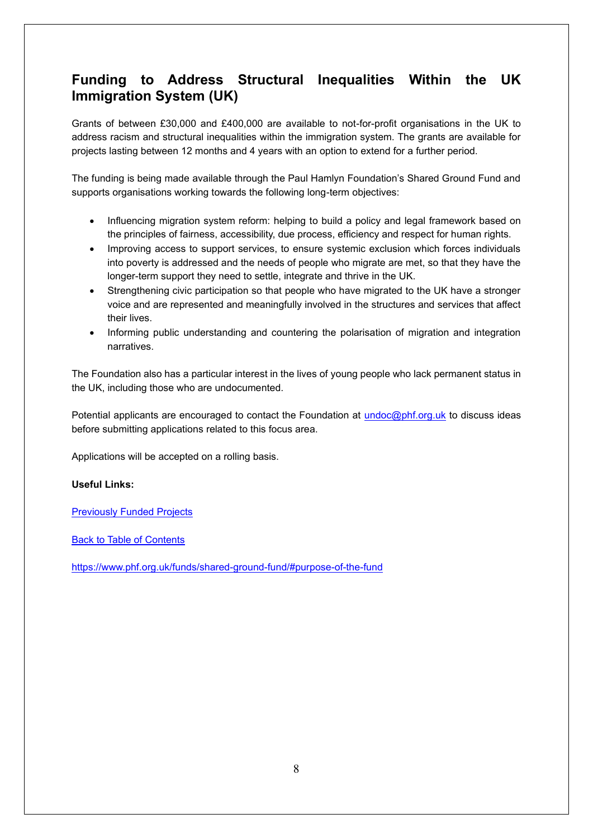## <span id="page-7-0"></span>**Funding to Address Structural Inequalities Within the UK Immigration System (UK)**

Grants of between £30,000 and £400,000 are available to not-for-profit organisations in the UK to address racism and structural inequalities within the immigration system. The grants are available for projects lasting between 12 months and 4 years with an option to extend for a further period.

The funding is being made available through the Paul Hamlyn Foundation's Shared Ground Fund and supports organisations working towards the following long-term objectives:

- Influencing migration system reform: helping to build a policy and legal framework based on the principles of fairness, accessibility, due process, efficiency and respect for human rights.
- Improving access to support services, to ensure systemic exclusion which forces individuals into poverty is addressed and the needs of people who migrate are met, so that they have the longer-term support they need to settle, integrate and thrive in the UK.
- Strengthening civic participation so that people who have migrated to the UK have a stronger voice and are represented and meaningfully involved in the structures and services that affect their lives.
- Informing public understanding and countering the polarisation of migration and integration narratives.

The Foundation also has a particular interest in the lives of young people who lack permanent status in the UK, including those who are undocumented.

Potential applicants are encouraged to contact the Foundation at [undoc@phf.org.uk](mailto:undoc@phf.org.uk) to discuss ideas before submitting applications related to this focus area.

Applications will be accepted on a rolling basis.

#### **Useful Links:**

[Previously Funded Projects](https://www.phf.org.uk/grants/?select-region_country%5B%5D=uk&select-new_fund%5B%5D=shared-ground-fund)

[Back to Table of Contents](file:///C:/Users/trici/Documents/Funding%20Insight%20Newsletter%206th%20April%202021.docx%23TOC)

<https://www.phf.org.uk/funds/shared-ground-fund/#purpose-of-the-fund>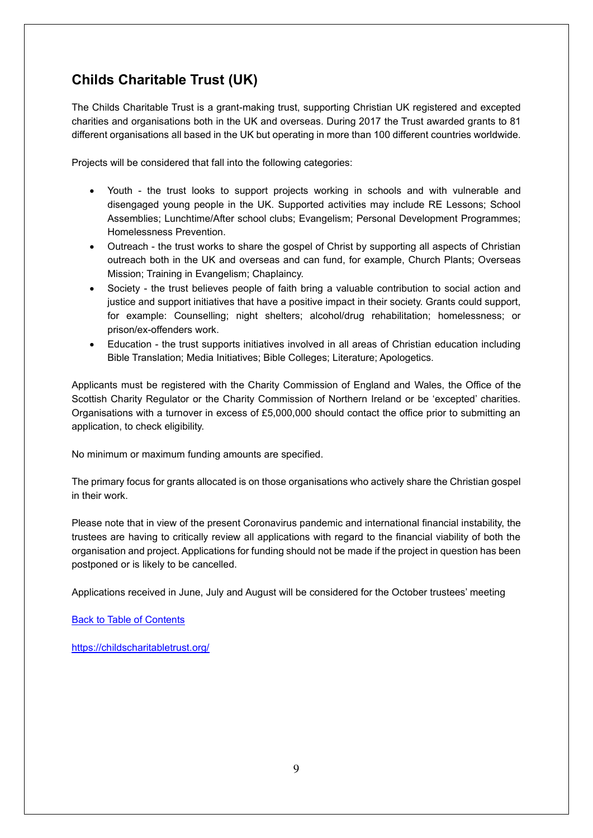## <span id="page-8-0"></span>**Childs Charitable Trust (UK)**

The Childs Charitable Trust is a grant-making trust, supporting Christian UK registered and excepted charities and organisations both in the UK and overseas. During 2017 the Trust awarded grants to 81 different organisations all based in the UK but operating in more than 100 different countries worldwide.

Projects will be considered that fall into the following categories:

- Youth the trust looks to support projects working in schools and with vulnerable and disengaged young people in the UK. Supported activities may include RE Lessons; School Assemblies; Lunchtime/After school clubs; Evangelism; Personal Development Programmes; Homelessness Prevention.
- Outreach the trust works to share the gospel of Christ by supporting all aspects of Christian outreach both in the UK and overseas and can fund, for example, Church Plants; Overseas Mission; Training in Evangelism; Chaplaincy.
- Society the trust believes people of faith bring a valuable contribution to social action and justice and support initiatives that have a positive impact in their society. Grants could support, for example: Counselling; night shelters; alcohol/drug rehabilitation; homelessness; or prison/ex-offenders work.
- Education the trust supports initiatives involved in all areas of Christian education including Bible Translation; Media Initiatives; Bible Colleges; Literature; Apologetics.

Applicants must be registered with the Charity Commission of England and Wales, the Office of the Scottish Charity Regulator or the Charity Commission of Northern Ireland or be 'excepted' charities. Organisations with a turnover in excess of £5,000,000 should contact the office prior to submitting an application, to check eligibility.

No minimum or maximum funding amounts are specified.

The primary focus for grants allocated is on those organisations who actively share the Christian gospel in their work.

Please note that in view of the present Coronavirus pandemic and international financial instability, the trustees are having to critically review all applications with regard to the financial viability of both the organisation and project. Applications for funding should not be made if the project in question has been postponed or is likely to be cancelled.

Applications received in June, July and August will be considered for the October trustees' meeting

[Back to Table of Contents](file:///C:/Users/trici/Documents/Funding%20Insight%20Newsletter%206th%20April%202021.docx%23TOC)

<https://childscharitabletrust.org/>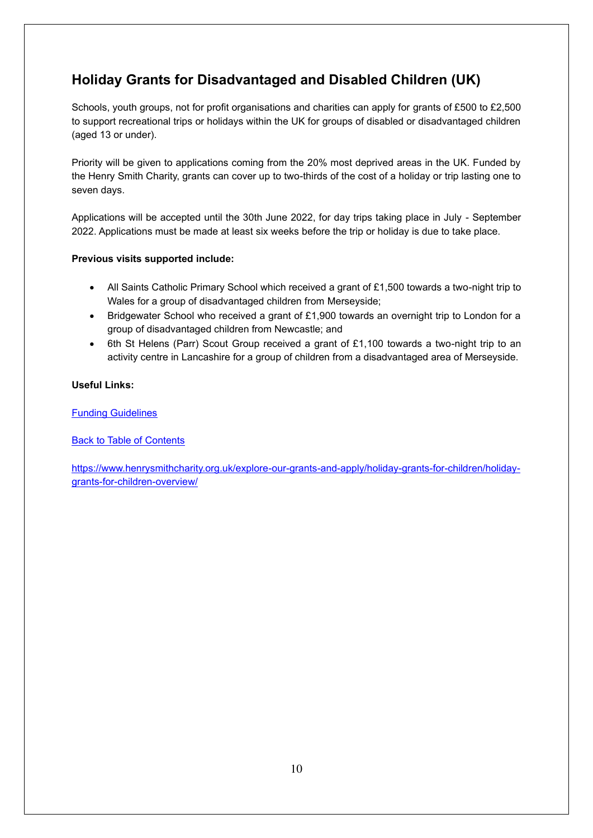## <span id="page-9-0"></span>**Holiday Grants for Disadvantaged and Disabled Children (UK)**

Schools, youth groups, not for profit organisations and charities can apply for grants of £500 to £2,500 to support recreational trips or holidays within the UK for groups of disabled or disadvantaged children (aged 13 or under).

Priority will be given to applications coming from the 20% most deprived areas in the UK. Funded by the Henry Smith Charity, grants can cover up to two-thirds of the cost of a holiday or trip lasting one to seven days.

Applications will be accepted until the 30th June 2022, for day trips taking place in July - September 2022. Applications must be made at least six weeks before the trip or holiday is due to take place.

#### **Previous visits supported include:**

- All Saints Catholic Primary School which received a grant of £1,500 towards a two-night trip to Wales for a group of disadvantaged children from Merseyside;
- Bridgewater School who received a grant of £1,900 towards an overnight trip to London for a group of disadvantaged children from Newcastle; and
- 6th St Helens (Parr) Scout Group received a grant of £1,100 towards a two-night trip to an activity centre in Lancashire for a group of children from a disadvantaged area of Merseyside.

#### **Useful Links:**

[Funding Guidelines](https://www.henrysmithcharity.org.uk/wp-content/uploads/2018/12/Holiday-Grants-programme-Guidelines-2019.pdf)

**[Back to Table of Contents](file:///C:/Users/trici/Documents/Funding%20Insight%20Newsletter%206th%20April%202021.docx%23TOC)** 

[https://www.henrysmithcharity.org.uk/explore-our-grants-and-apply/holiday-grants-for-children/holiday](https://www.henrysmithcharity.org.uk/explore-our-grants-and-apply/holiday-grants-for-children/holiday-grants-for-children-overview/)[grants-for-children-overview/](https://www.henrysmithcharity.org.uk/explore-our-grants-and-apply/holiday-grants-for-children/holiday-grants-for-children-overview/)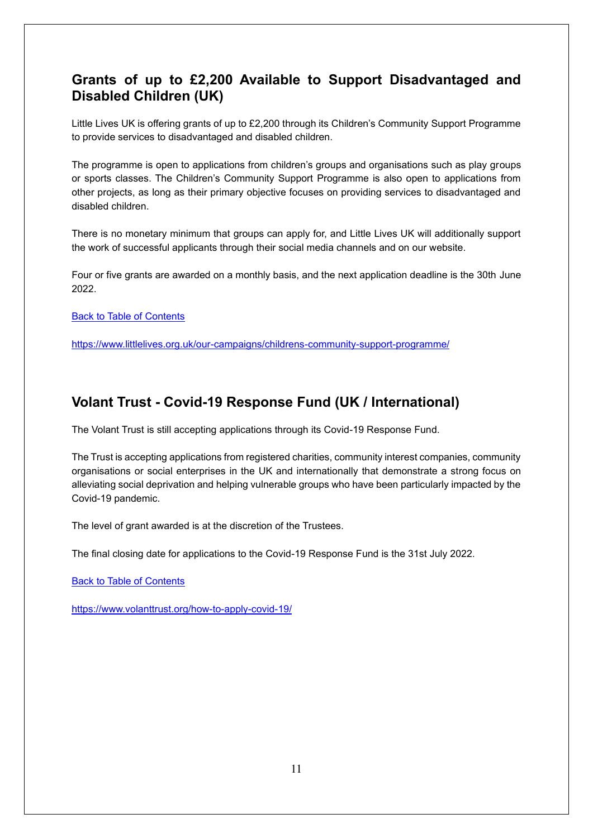## <span id="page-10-0"></span>**Grants of up to £2,200 Available to Support Disadvantaged and Disabled Children (UK)**

Little Lives UK is offering grants of up to £2,200 through its Children's Community Support Programme to provide services to disadvantaged and disabled children.

The programme is open to applications from children's groups and organisations such as play groups or sports classes. The Children's Community Support Programme is also open to applications from other projects, as long as their primary objective focuses on providing services to disadvantaged and disabled children.

There is no monetary minimum that groups can apply for, and Little Lives UK will additionally support the work of successful applicants through their social media channels and on our website.

Four or five grants are awarded on a monthly basis, and the next application deadline is the 30th June 2022.

[Back to Table of Contents](file:///C:/Users/trici/Documents/Funding%20Insight%20Newsletter%206th%20April%202021.docx%23TOC)

<https://www.littlelives.org.uk/our-campaigns/childrens-community-support-programme/>

#### <span id="page-10-1"></span>**Volant Trust - Covid-19 Response Fund (UK / International)**

The Volant Trust is still accepting applications through its Covid-19 Response Fund.

The Trust is accepting applications from registered charities, community interest companies, community organisations or social enterprises in the UK and internationally that demonstrate a strong focus on alleviating social deprivation and helping vulnerable groups who have been particularly impacted by the Covid-19 pandemic.

The level of grant awarded is at the discretion of the Trustees.

The final closing date for applications to the Covid-19 Response Fund is the 31st July 2022.

**[Back to Table of Contents](file:///C:/Users/trici/Documents/Funding%20Insight%20Newsletter%206th%20April%202021.docx%23TOC)** 

<https://www.volanttrust.org/how-to-apply-covid-19/>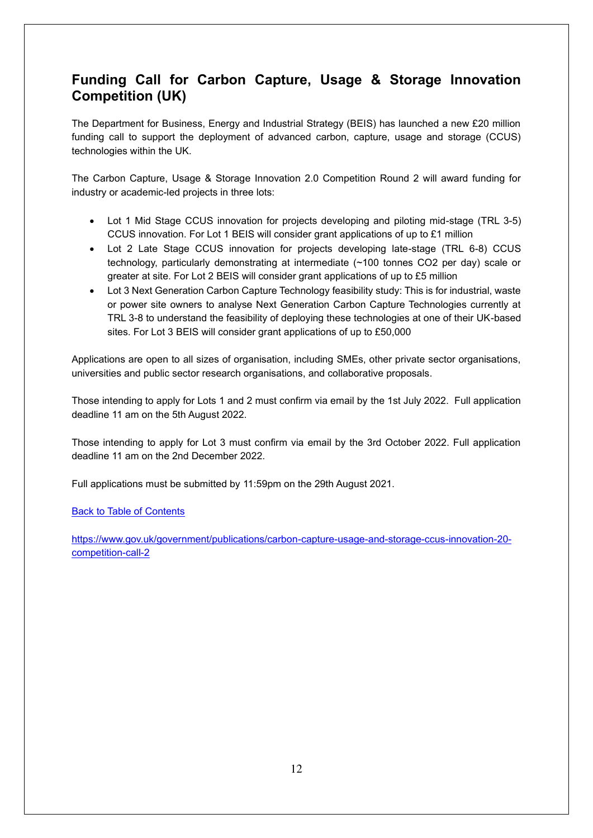## <span id="page-11-0"></span>**Funding Call for Carbon Capture, Usage & Storage Innovation Competition (UK)**

The Department for Business, Energy and Industrial Strategy (BEIS) has launched a new £20 million funding call to support the deployment of advanced carbon, capture, usage and storage (CCUS) technologies within the UK.

The Carbon Capture, Usage & Storage Innovation 2.0 Competition Round 2 will award funding for industry or academic-led projects in three lots:

- Lot 1 Mid Stage CCUS innovation for projects developing and piloting mid-stage (TRL 3-5) CCUS innovation. For Lot 1 BEIS will consider grant applications of up to £1 million
- Lot 2 Late Stage CCUS innovation for projects developing late-stage (TRL 6-8) CCUS technology, particularly demonstrating at intermediate (~100 tonnes CO2 per day) scale or greater at site. For Lot 2 BEIS will consider grant applications of up to £5 million
- Lot 3 Next Generation Carbon Capture Technology feasibility study: This is for industrial, waste or power site owners to analyse Next Generation Carbon Capture Technologies currently at TRL 3-8 to understand the feasibility of deploying these technologies at one of their UK-based sites. For Lot 3 BEIS will consider grant applications of up to £50,000

Applications are open to all sizes of organisation, including SMEs, other private sector organisations, universities and public sector research organisations, and collaborative proposals.

Those intending to apply for Lots 1 and 2 must confirm via email by the 1st July 2022. Full application deadline 11 am on the 5th August 2022.

Those intending to apply for Lot 3 must confirm via email by the 3rd October 2022. Full application deadline 11 am on the 2nd December 2022.

Full applications must be submitted by 11:59pm on the 29th August 2021.

#### [Back to Table of Contents](file:///C:/Users/trici/Documents/Funding%20Insight%20Newsletter%206th%20April%202021.docx%23TOC)

[https://www.gov.uk/government/publications/carbon-capture-usage-and-storage-ccus-innovation-20](https://www.gov.uk/government/publications/carbon-capture-usage-and-storage-ccus-innovation-20-competition-call-2) [competition-call-2](https://www.gov.uk/government/publications/carbon-capture-usage-and-storage-ccus-innovation-20-competition-call-2)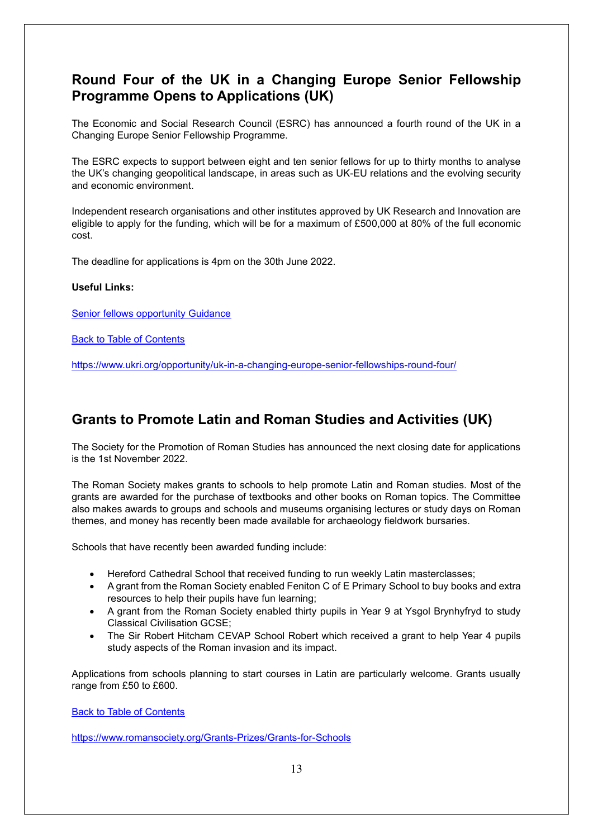#### <span id="page-12-0"></span>**Round Four of the UK in a Changing Europe Senior Fellowship Programme Opens to Applications (UK)**

The Economic and Social Research Council (ESRC) has announced a fourth round of the UK in a Changing Europe Senior Fellowship Programme.

The ESRC expects to support between eight and ten senior fellows for up to thirty months to analyse the UK's changing geopolitical landscape, in areas such as UK-EU relations and the evolving security and economic environment.

Independent research organisations and other institutes approved by UK Research and Innovation are eligible to apply for the funding, which will be for a maximum of £500,000 at 80% of the full economic cost.

The deadline for applications is 4pm on the 30th June 2022.

#### **Useful Links:**

[Senior fellows opportunity Guidance](https://www.ukri.org/wp-content/uploads/2022/05/ESRC-25052022-UKRI-Senior-Fellows-Call-2022-ESRC-JeS-guidance-FINAL.pdf)

**[Back to Table of Contents](file:///C:/Users/trici/Documents/Funding%20Insight%20Newsletter%206th%20April%202021.docx%23TOC)** 

<https://www.ukri.org/opportunity/uk-in-a-changing-europe-senior-fellowships-round-four/>

#### <span id="page-12-1"></span>**Grants to Promote Latin and Roman Studies and Activities (UK)**

The Society for the Promotion of Roman Studies has announced the next closing date for applications is the 1st November 2022.

The Roman Society makes grants to schools to help promote Latin and Roman studies. Most of the grants are awarded for the purchase of textbooks and other books on Roman topics. The Committee also makes awards to groups and schools and museums organising lectures or study days on Roman themes, and money has recently been made available for archaeology fieldwork bursaries.

Schools that have recently been awarded funding include:

- Hereford Cathedral School that received funding to run weekly Latin masterclasses;
- A grant from the Roman Society enabled Feniton C of E Primary School to buy books and extra resources to help their pupils have fun learning;
- A grant from the Roman Society enabled thirty pupils in Year 9 at Ysgol Brynhyfryd to study Classical Civilisation GCSE;
- The Sir Robert Hitcham CEVAP School Robert which received a grant to help Year 4 pupils study aspects of the Roman invasion and its impact.

Applications from schools planning to start courses in Latin are particularly welcome. Grants usually range from £50 to £600.

[Back to Table of Contents](file:///C:/Users/trici/Documents/Funding%20Insight%20Newsletter%206th%20April%202021.docx%23TOC)

<https://www.romansociety.org/Grants-Prizes/Grants-for-Schools>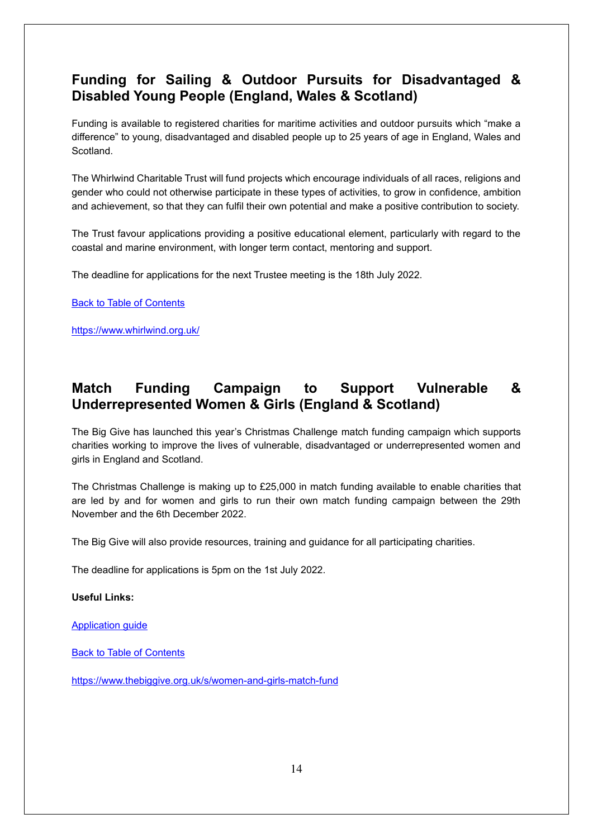## <span id="page-13-0"></span>**Funding for Sailing & Outdoor Pursuits for Disadvantaged & Disabled Young People (England, Wales & Scotland)**

Funding is available to registered charities for maritime activities and outdoor pursuits which "make a difference" to young, disadvantaged and disabled people up to 25 years of age in England, Wales and **Scotland** 

The Whirlwind Charitable Trust will fund projects which encourage individuals of all races, religions and gender who could not otherwise participate in these types of activities, to grow in confidence, ambition and achievement, so that they can fulfil their own potential and make a positive contribution to society.

The Trust favour applications providing a positive educational element, particularly with regard to the coastal and marine environment, with longer term contact, mentoring and support.

The deadline for applications for the next Trustee meeting is the 18th July 2022.

[Back to Table of Contents](file:///C:/Users/trici/Documents/Funding%20Insight%20Newsletter%206th%20April%202021.docx%23TOC)

<https://www.whirlwind.org.uk/>

## <span id="page-13-1"></span>**Match Funding Campaign to Support Vulnerable & Underrepresented Women & Girls (England & Scotland)**

The Big Give has launched this year's Christmas Challenge match funding campaign which supports charities working to improve the lives of vulnerable, disadvantaged or underrepresented women and girls in England and Scotland.

The Christmas Challenge is making up to £25,000 in match funding available to enable charities that are led by and for women and girls to run their own match funding campaign between the 29th November and the 6th December 2022.

The Big Give will also provide resources, training and guidance for all participating charities.

The deadline for applications is 5pm on the 1st July 2022.

#### **Useful Links:**

[Application guide](https://thebiggive.my.salesforce.com/sfc/p/0O000000YzQm/a/69000000nHZ6/BqBRVZrFbwj08GgQEhjI7GpqRDyqvOYBfzGZAeS5CsY)

[Back to Table of Contents](file:///C:/Users/trici/Documents/Funding%20Insight%20Newsletter%206th%20April%202021.docx%23TOC)

<https://www.thebiggive.org.uk/s/women-and-girls-match-fund>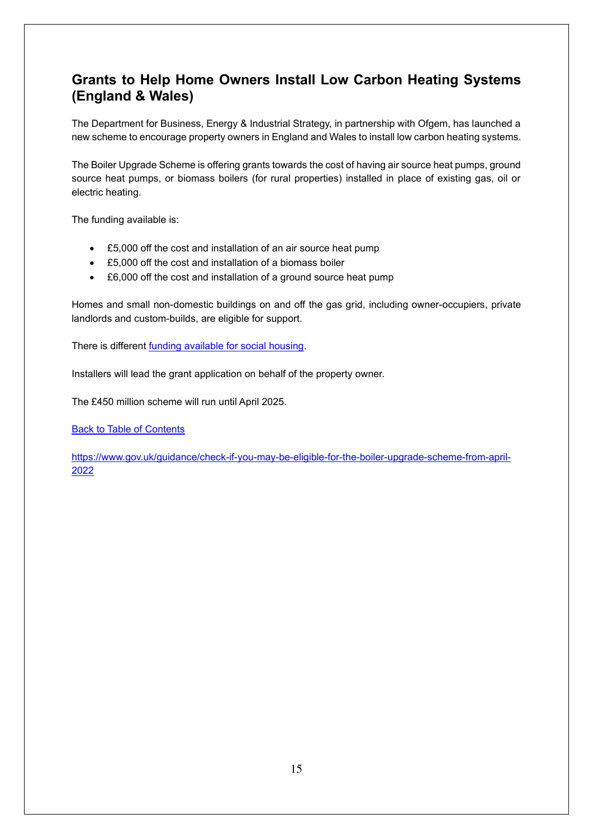## <span id="page-14-0"></span>**Grants to Help Home Owners Install Low Carbon Heating Systems (England & Wales)**

The Department for Business, Energy & Industrial Strategy, in partnership with Ofgem, has launched a new scheme to encourage property owners in England and Wales to install low carbon heating systems.

The Boiler Upgrade Scheme is offering grants towards the cost of having air source heat pumps, ground source heat pumps, or biomass boilers (for rural properties) installed in place of existing gas, oil or electric heating.

The funding available is:

- £5,000 off the cost and installation of an air source heat pump
- £5,000 off the cost and installation of a biomass boiler
- £6,000 off the cost and installation of a ground source heat pump

Homes and small non-domestic buildings on and off the gas grid, including owner-occupiers, private landlords and custom-builds, are eligible for support.

There is different [funding available for social housing.](https://www.gov.uk/government/collections/home-energy-performance-retrofit-funding-for-local-authorities-and-housing-associations-to-help-improve-the-energy-performance-of-homes)

Installers will lead the grant application on behalf of the property owner.

The £450 million scheme will run until April 2025.

**[Back to Table of Contents](file:///C:/Users/trici/Documents/Funding%20Insight%20Newsletter%206th%20April%202021.docx%23TOC)** 

[https://www.gov.uk/guidance/check-if-you-may-be-eligible-for-the-boiler-upgrade-scheme-from-april-](https://www.gov.uk/guidance/check-if-you-may-be-eligible-for-the-boiler-upgrade-scheme-from-april-2022)[2022](https://www.gov.uk/guidance/check-if-you-may-be-eligible-for-the-boiler-upgrade-scheme-from-april-2022)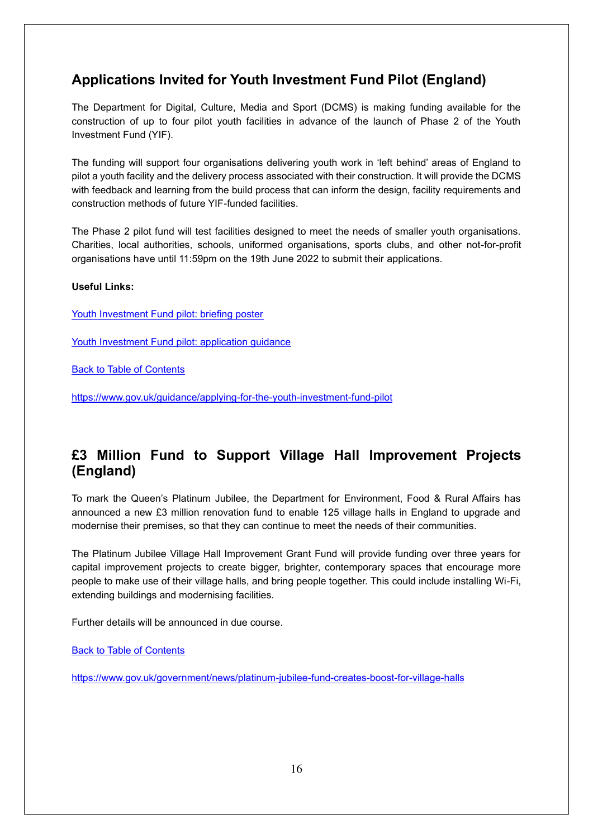## <span id="page-15-0"></span>**Applications Invited for Youth Investment Fund Pilot (England)**

The Department for Digital, Culture, Media and Sport (DCMS) is making funding available for the construction of up to four pilot youth facilities in advance of the launch of Phase 2 of the Youth Investment Fund (YIF).

The funding will support four organisations delivering youth work in 'left behind' areas of England to pilot a youth facility and the delivery process associated with their construction. It will provide the DCMS with feedback and learning from the build process that can inform the design, facility requirements and construction methods of future YIF-funded facilities.

The Phase 2 pilot fund will test facilities designed to meet the needs of smaller youth organisations. Charities, local authorities, schools, uniformed organisations, sports clubs, and other not-for-profit organisations have until 11:59pm on the 19th June 2022 to submit their applications.

#### **Useful Links:**

[Youth Investment Fund pilot: briefing poster](https://assets.publishing.service.gov.uk/government/uploads/system/uploads/attachment_data/file/1079002/220525_FINAL_VERSION_YIF_Pilot_Briefing_Poster.pdf)

[Youth Investment Fund pilot: application guidance](https://assets.publishing.service.gov.uk/government/uploads/system/uploads/attachment_data/file/1079064/YIF_Pilot_Application_Guidance.pdf)

[Back to Table of Contents](file:///C:/Users/trici/Documents/Funding%20Insight%20Newsletter%206th%20April%202021.docx%23TOC)

<https://www.gov.uk/guidance/applying-for-the-youth-investment-fund-pilot>

## <span id="page-15-1"></span>**£3 Million Fund to Support Village Hall Improvement Projects (England)**

To mark the Queen's Platinum Jubilee, the Department for Environment, Food & Rural Affairs has announced a new £3 million renovation fund to enable 125 village halls in England to upgrade and modernise their premises, so that they can continue to meet the needs of their communities.

The Platinum Jubilee Village Hall Improvement Grant Fund will provide funding over three years for capital improvement projects to create bigger, brighter, contemporary spaces that encourage more people to make use of their village halls, and bring people together. This could include installing Wi-Fi, extending buildings and modernising facilities.

Further details will be announced in due course.

[Back to Table of Contents](file:///C:/Users/trici/Documents/Funding%20Insight%20Newsletter%206th%20April%202021.docx%23TOC)

<https://www.gov.uk/government/news/platinum-jubilee-fund-creates-boost-for-village-halls>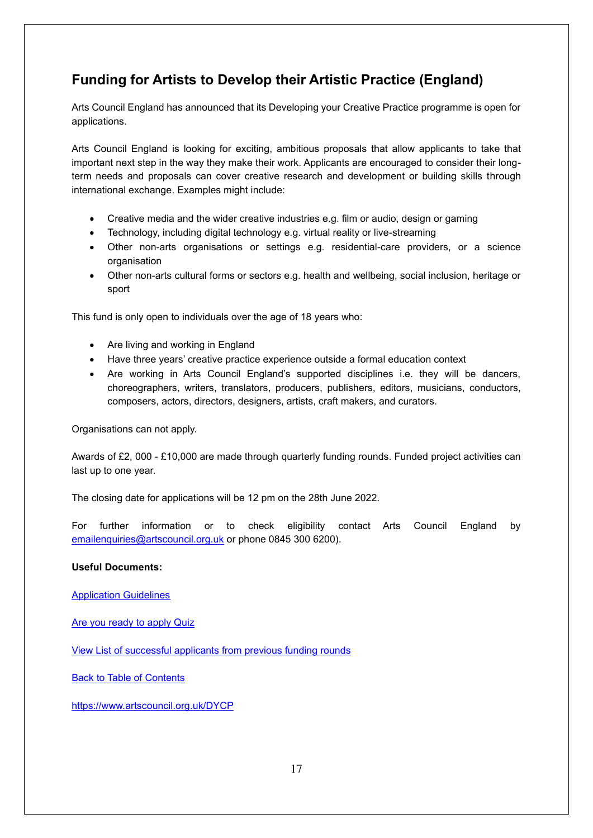## <span id="page-16-0"></span>**Funding for Artists to Develop their Artistic Practice (England)**

Arts Council England has announced that its Developing your Creative Practice programme is open for applications.

Arts Council England is looking for exciting, ambitious proposals that allow applicants to take that important next step in the way they make their work. Applicants are encouraged to consider their longterm needs and proposals can cover creative research and development or building skills through international exchange. Examples might include:

- Creative media and the wider creative industries e.g. film or audio, design or gaming
- Technology, including digital technology e.g. virtual reality or live-streaming
- Other non-arts organisations or settings e.g. residential-care providers, or a science organisation
- Other non-arts cultural forms or sectors e.g. health and wellbeing, social inclusion, heritage or sport

This fund is only open to individuals over the age of 18 years who:

- Are living and working in England
- Have three years' creative practice experience outside a formal education context
- Are working in Arts Council England's supported disciplines i.e. they will be dancers, choreographers, writers, translators, producers, publishers, editors, musicians, conductors, composers, actors, directors, designers, artists, craft makers, and curators.

#### Organisations can not apply.

Awards of £2, 000 - £10,000 are made through quarterly funding rounds. Funded project activities can last up to one year.

The closing date for applications will be 12 pm on the 28th June 2022.

For further information or to check eligibility contact Arts Council England by [emailenquiries@artscouncil.org.uk](mailto:emailenquiries@artscouncil.org.uk) or phone 0845 300 6200).

#### **Useful Documents:**

[Application Guidelines](https://www.artscouncil.org.uk/developing-your-creative-practice/dycp-how-apply)

[Are you ready to apply Quiz](https://www.artscouncil.org.uk/DYCP)

[View List of successful applicants from previous funding rounds](https://www.artscouncil.org.uk/developing-your-creative-practice/dycp-successful-applicants#section-4)

[Back to Table of Contents](file:///C:/Users/trici/Documents/Funding%20Insight%20Newsletter%206th%20April%202021.docx%23TOC)

<https://www.artscouncil.org.uk/DYCP>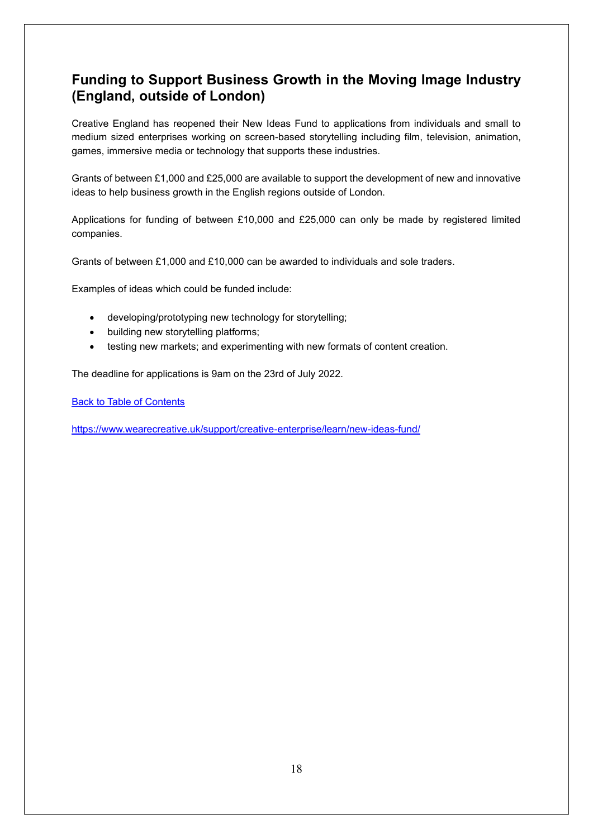## <span id="page-17-0"></span>**Funding to Support Business Growth in the Moving Image Industry (England, outside of London)**

Creative England has reopened their New Ideas Fund to applications from individuals and small to medium sized enterprises working on screen-based storytelling including film, television, animation, games, immersive media or technology that supports these industries.

Grants of between £1,000 and £25,000 are available to support the development of new and innovative ideas to help business growth in the English regions outside of London.

Applications for funding of between £10,000 and £25,000 can only be made by registered limited companies.

Grants of between £1,000 and £10,000 can be awarded to individuals and sole traders.

Examples of ideas which could be funded include:

- developing/prototyping new technology for storytelling;
- building new storytelling platforms;
- testing new markets; and experimenting with new formats of content creation.

The deadline for applications is 9am on the 23rd of July 2022.

[Back to Table of Contents](file:///C:/Users/trici/Documents/Funding%20Insight%20Newsletter%206th%20April%202021.docx%23TOC)

<https://www.wearecreative.uk/support/creative-enterprise/learn/new-ideas-fund/>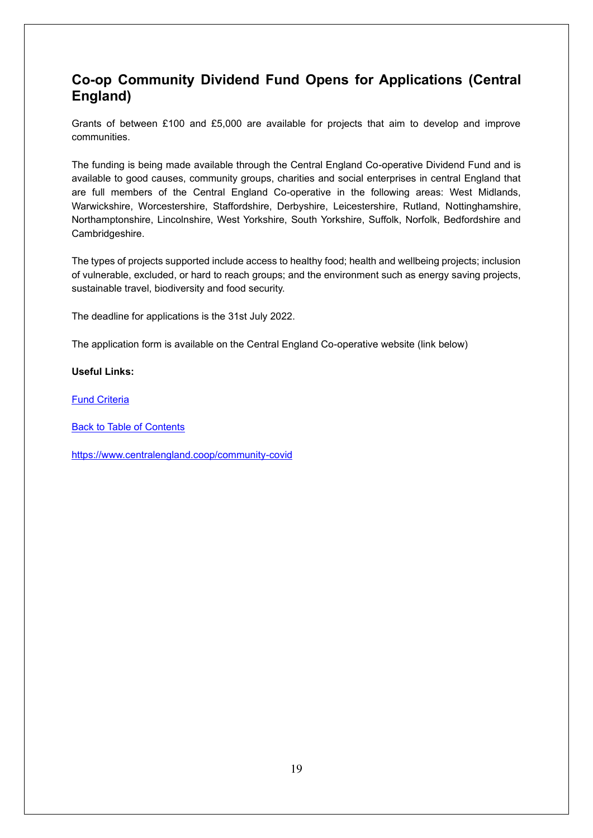## <span id="page-18-0"></span>**Co-op Community Dividend Fund Opens for Applications (Central England)**

Grants of between £100 and £5,000 are available for projects that aim to develop and improve communities.

The funding is being made available through the Central England Co-operative Dividend Fund and is available to good causes, community groups, charities and social enterprises in central England that are full members of the Central England Co-operative in the following areas: West Midlands, Warwickshire, Worcestershire, Staffordshire, Derbyshire, Leicestershire, Rutland, Nottinghamshire, Northamptonshire, Lincolnshire, West Yorkshire, South Yorkshire, Suffolk, Norfolk, Bedfordshire and Cambridgeshire.

The types of projects supported include access to healthy food; health and wellbeing projects; inclusion of vulnerable, excluded, or hard to reach groups; and the environment such as energy saving projects, sustainable travel, biodiversity and food security.

The deadline for applications is the 31st July 2022.

The application form is available on the Central England Co-operative website (link below)

#### **Useful Links:**

[Fund Criteria](https://www.centralengland.coop/community-covid/funding-eligibility-requirements)

[Back to Table of Contents](file:///C:/Users/trici/Documents/Funding%20Insight%20Newsletter%206th%20April%202021.docx%23TOC)

<https://www.centralengland.coop/community-covid>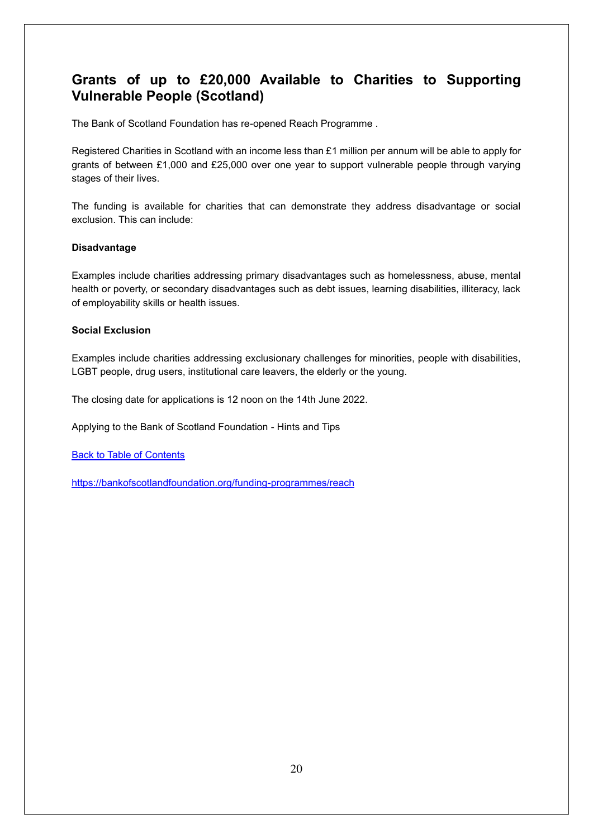## <span id="page-19-0"></span>**Grants of up to £20,000 Available to Charities to Supporting Vulnerable People (Scotland)**

The Bank of Scotland Foundation has re-opened Reach Programme .

Registered Charities in Scotland with an income less than £1 million per annum will be able to apply for grants of between £1,000 and £25,000 over one year to support vulnerable people through varying stages of their lives.

The funding is available for charities that can demonstrate they address disadvantage or social exclusion. This can include:

#### **Disadvantage**

Examples include charities addressing primary disadvantages such as homelessness, abuse, mental health or poverty, or secondary disadvantages such as debt issues, learning disabilities, illiteracy, lack of employability skills or health issues.

#### **Social Exclusion**

Examples include charities addressing exclusionary challenges for minorities, people with disabilities, LGBT people, drug users, institutional care leavers, the elderly or the young.

The closing date for applications is 12 noon on the 14th June 2022.

Applying to the Bank of Scotland Foundation - Hints and Tips

[Back to Table of Contents](file:///C:/Users/trici/Documents/Funding%20Insight%20Newsletter%206th%20April%202021.docx%23TOC)

<https://bankofscotlandfoundation.org/funding-programmes/reach>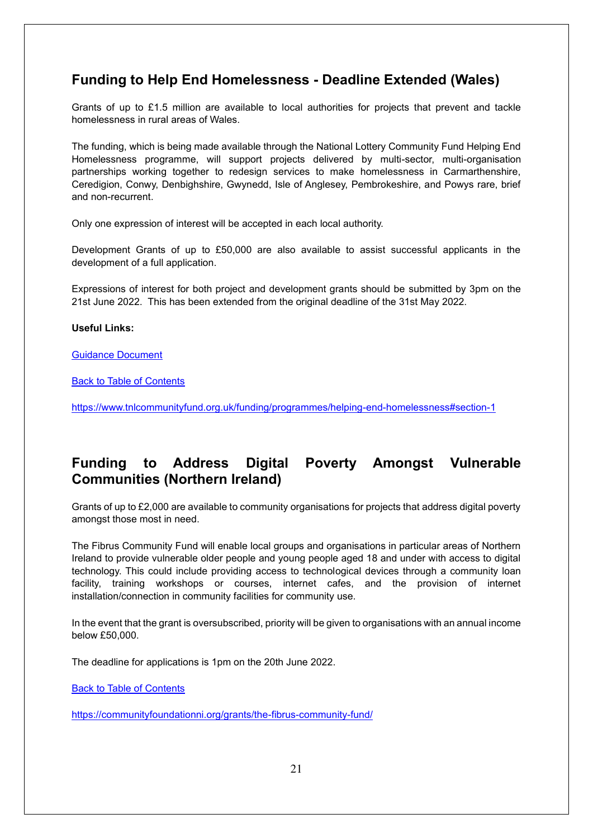#### <span id="page-20-0"></span>**Funding to Help End Homelessness - Deadline Extended (Wales)**

Grants of up to £1.5 million are available to local authorities for projects that prevent and tackle homelessness in rural areas of Wales.

The funding, which is being made available through the National Lottery Community Fund Helping End Homelessness programme, will support projects delivered by multi-sector, multi-organisation partnerships working together to redesign services to make homelessness in Carmarthenshire, Ceredigion, Conwy, Denbighshire, Gwynedd, Isle of Anglesey, Pembrokeshire, and Powys rare, brief and non-recurrent.

Only one expression of interest will be accepted in each local authority.

Development Grants of up to £50,000 are also available to assist successful applicants in the development of a full application.

Expressions of interest for both project and development grants should be submitted by 3pm on the 21st June 2022. This has been extended from the original deadline of the 31st May 2022.

#### **Useful Links:**

[Guidance Document](https://www.tnlcommunityfund.org.uk/media/press-releases/Wales/TF22_043_Helping-End-Homelessness-Guidance-Notes_English-2.pdf?mtime=20220425201707&focal=none)

[Back to Table of Contents](file:///C:/Users/trici/Documents/Funding%20Insight%20Newsletter%206th%20April%202021.docx%23TOC)

<https://www.tnlcommunityfund.org.uk/funding/programmes/helping-end-homelessness#section-1>

#### <span id="page-20-1"></span>**Funding to Address Digital Poverty Amongst Vulnerable Communities (Northern Ireland)**

Grants of up to £2,000 are available to community organisations for projects that address digital poverty amongst those most in need.

The Fibrus Community Fund will enable local groups and organisations in particular areas of Northern Ireland to provide vulnerable older people and young people aged 18 and under with access to digital technology. This could include providing access to technological devices through a community loan facility, training workshops or courses, internet cafes, and the provision of internet installation/connection in community facilities for community use.

In the event that the grant is oversubscribed, priority will be given to organisations with an annual income below £50,000.

The deadline for applications is 1pm on the 20th June 2022.

[Back to Table of Contents](file:///C:/Users/trici/Documents/Funding%20Insight%20Newsletter%206th%20April%202021.docx%23TOC)

<https://communityfoundationni.org/grants/the-fibrus-community-fund/>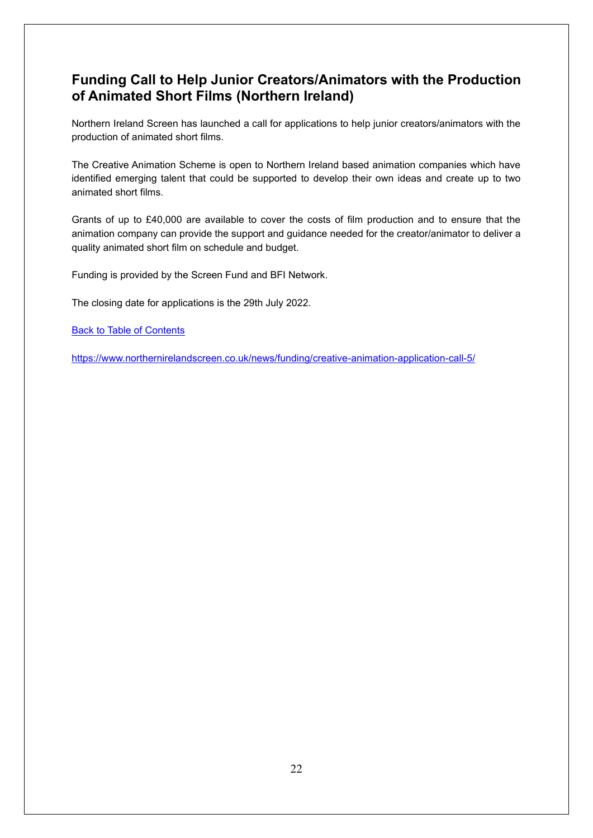## <span id="page-21-0"></span>**Funding Call to Help Junior Creators/Animators with the Production of Animated Short Films (Northern Ireland)**

Northern Ireland Screen has launched a call for applications to help junior creators/animators with the production of animated short films.

The Creative Animation Scheme is open to Northern Ireland based animation companies which have identified emerging talent that could be supported to develop their own ideas and create up to two animated short films.

Grants of up to £40,000 are available to cover the costs of film production and to ensure that the animation company can provide the support and guidance needed for the creator/animator to deliver a quality animated short film on schedule and budget.

Funding is provided by the Screen Fund and BFI Network.

The closing date for applications is the 29th July 2022.

[Back to Table of Contents](file:///C:/Users/trici/Documents/Funding%20Insight%20Newsletter%206th%20April%202021.docx%23TOC)

<https://www.northernirelandscreen.co.uk/news/funding/creative-animation-application-call-5/>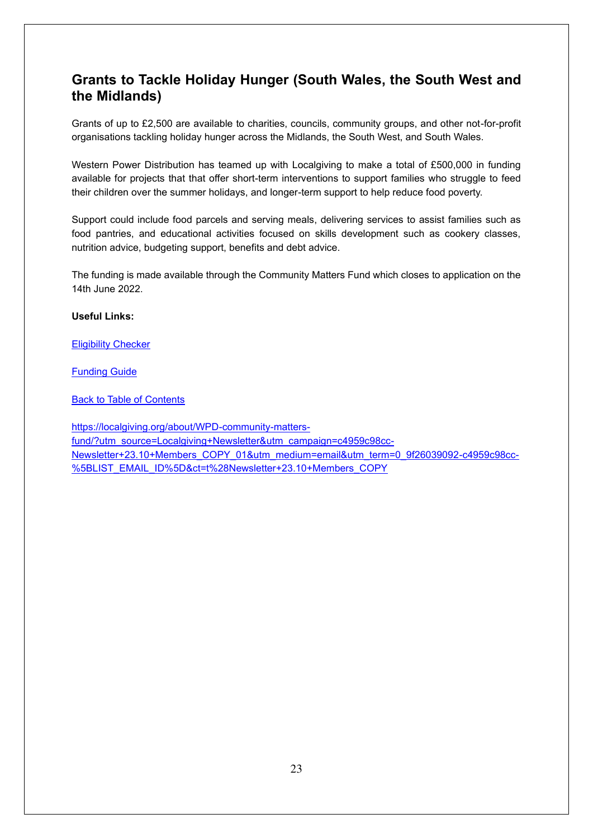## <span id="page-22-0"></span>**Grants to Tackle Holiday Hunger (South Wales, the South West and the Midlands)**

Grants of up to £2,500 are available to charities, councils, community groups, and other not-for-profit organisations tackling holiday hunger across the Midlands, the South West, and South Wales.

Western Power Distribution has teamed up with Localgiving to make a total of £500,000 in funding available for projects that that offer short-term interventions to support families who struggle to feed their children over the summer holidays, and longer-term support to help reduce food poverty.

Support could include food parcels and serving meals, delivering services to assist families such as food pantries, and educational activities focused on skills development such as cookery classes, nutrition advice, budgeting support, benefits and debt advice.

The funding is made available through the Community Matters Fund which closes to application on the 14th June 2022.

#### **Useful Links:**

[Eligibility Checker](https://www.westernpower.co.uk/our-network/distribution-area-search)

[Funding Guide](https://localgiving-assets-lts.s3.eu-west-1.amazonaws.com/media/WPD2022_Community_Matters_Fund_Phase_3_Guidance_DocumentV2.pdf)

[Back to Table of Contents](file:///C:/Users/trici/Documents/Funding%20Insight%20Newsletter%206th%20April%202021.docx%23TOC)

[https://localgiving.org/about/WPD-community-matters](https://localgiving.org/about/WPD-community-matters-fund/?utm_source=Localgiving+Newsletter&utm_campaign=c4959c98cc-Newsletter+23.10+Members_COPY_01&utm_medium=email&utm_term=0_9f26039092-c4959c98cc-%5BLIST_EMAIL_ID%5D&ct=t%28Newsletter+23.10+Members_COPY)[fund/?utm\\_source=Localgiving+Newsletter&utm\\_campaign=c4959c98cc-](https://localgiving.org/about/WPD-community-matters-fund/?utm_source=Localgiving+Newsletter&utm_campaign=c4959c98cc-Newsletter+23.10+Members_COPY_01&utm_medium=email&utm_term=0_9f26039092-c4959c98cc-%5BLIST_EMAIL_ID%5D&ct=t%28Newsletter+23.10+Members_COPY)[Newsletter+23.10+Members\\_COPY\\_01&utm\\_medium=email&utm\\_term=0\\_9f26039092-c4959c98cc-](https://localgiving.org/about/WPD-community-matters-fund/?utm_source=Localgiving+Newsletter&utm_campaign=c4959c98cc-Newsletter+23.10+Members_COPY_01&utm_medium=email&utm_term=0_9f26039092-c4959c98cc-%5BLIST_EMAIL_ID%5D&ct=t%28Newsletter+23.10+Members_COPY) [%5BLIST\\_EMAIL\\_ID%5D&ct=t%28Newsletter+23.10+Members\\_COPY](https://localgiving.org/about/WPD-community-matters-fund/?utm_source=Localgiving+Newsletter&utm_campaign=c4959c98cc-Newsletter+23.10+Members_COPY_01&utm_medium=email&utm_term=0_9f26039092-c4959c98cc-%5BLIST_EMAIL_ID%5D&ct=t%28Newsletter+23.10+Members_COPY)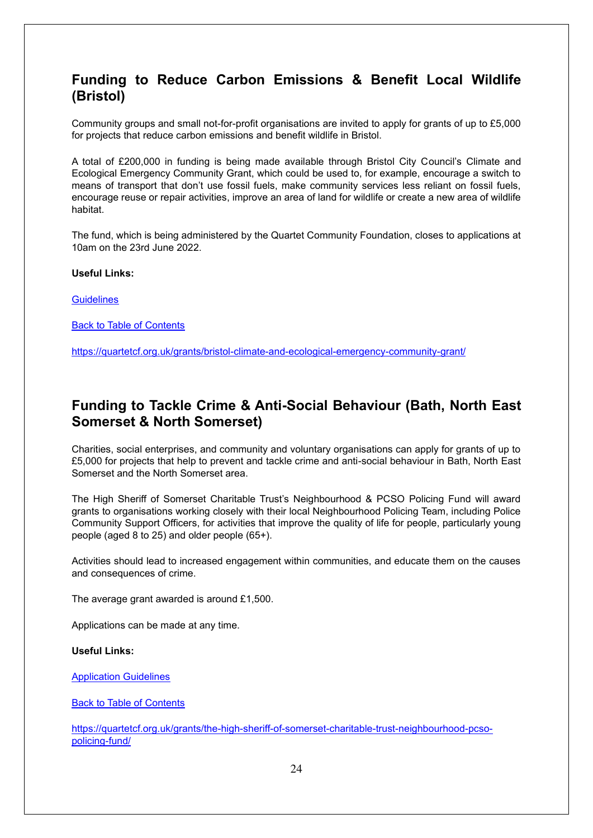#### <span id="page-23-0"></span>**Funding to Reduce Carbon Emissions & Benefit Local Wildlife (Bristol)**

Community groups and small not-for-profit organisations are invited to apply for grants of up to £5,000 for projects that reduce carbon emissions and benefit wildlife in Bristol.

A total of £200,000 in funding is being made available through Bristol City Council's Climate and Ecological Emergency Community Grant, which could be used to, for example, encourage a switch to means of transport that don't use fossil fuels, make community services less reliant on fossil fuels, encourage reuse or repair activities, improve an area of land for wildlife or create a new area of wildlife habitat.

The fund, which is being administered by the Quartet Community Foundation, closes to applications at 10am on the 23rd June 2022.

**Useful Links:**

**[Guidelines](https://quartetcf.org.uk/wp-content/uploads/2022/03/Guidelines-for-BCC-CEE-Community-Grant-Final-2022-1.pdf)** 

[Back to Table of Contents](file:///C:/Users/trici/Documents/Funding%20Insight%20Newsletter%206th%20April%202021.docx%23TOC)

<https://quartetcf.org.uk/grants/bristol-climate-and-ecological-emergency-community-grant/>

#### <span id="page-23-1"></span>**Funding to Tackle Crime & Anti-Social Behaviour (Bath, North East Somerset & North Somerset)**

Charities, social enterprises, and community and voluntary organisations can apply for grants of up to £5,000 for projects that help to prevent and tackle crime and anti-social behaviour in Bath, North East Somerset and the North Somerset area.

The High Sheriff of Somerset Charitable Trust's Neighbourhood & PCSO Policing Fund will award grants to organisations working closely with their local Neighbourhood Policing Team, including Police Community Support Officers, for activities that improve the quality of life for people, particularly young people (aged 8 to 25) and older people (65+).

Activities should lead to increased engagement within communities, and educate them on the causes and consequences of crime.

The average grant awarded is around £1,500.

Applications can be made at any time.

**Useful Links:**

[Application Guidelines](https://quartetcf.org.uk/wp-content/uploads/2021/03/HIGHSH1-1.pdf)

[Back to Table of Contents](file:///C:/Users/trici/Documents/Funding%20Insight%20Newsletter%206th%20April%202021.docx%23TOC)

[https://quartetcf.org.uk/grants/the-high-sheriff-of-somerset-charitable-trust-neighbourhood-pcso](https://quartetcf.org.uk/grants/the-high-sheriff-of-somerset-charitable-trust-neighbourhood-pcso-policing-fund/)[policing-fund/](https://quartetcf.org.uk/grants/the-high-sheriff-of-somerset-charitable-trust-neighbourhood-pcso-policing-fund/)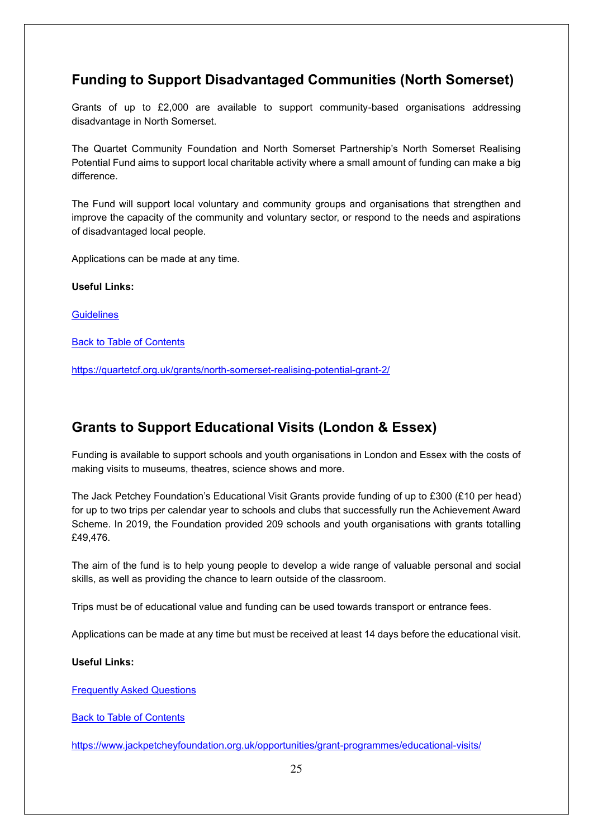## <span id="page-24-0"></span>**Funding to Support Disadvantaged Communities (North Somerset)**

Grants of up to £2,000 are available to support community-based organisations addressing disadvantage in North Somerset.

The Quartet Community Foundation and North Somerset Partnership's North Somerset Realising Potential Fund aims to support local charitable activity where a small amount of funding can make a big difference.

The Fund will support local voluntary and community groups and organisations that strengthen and improve the capacity of the community and voluntary sector, or respond to the needs and aspirations of disadvantaged local people.

Applications can be made at any time.

**Useful Links:**

**[Guidelines](https://quartetcf.org.uk/wp-content/uploads/2020/02/North-somerset-Realising-Potential-Charitable-Fund-Grantv2.pdf)** 

**[Back to Table of Contents](file:///C:/Users/trici/Documents/Funding%20Insight%20Newsletter%206th%20April%202021.docx%23TOC)** 

<https://quartetcf.org.uk/grants/north-somerset-realising-potential-grant-2/>

#### <span id="page-24-1"></span>**Grants to Support Educational Visits (London & Essex)**

Funding is available to support schools and youth organisations in London and Essex with the costs of making visits to museums, theatres, science shows and more.

The Jack Petchey Foundation's Educational Visit Grants provide funding of up to £300 (£10 per head) for up to two trips per calendar year to schools and clubs that successfully run the Achievement Award Scheme. In 2019, the Foundation provided 209 schools and youth organisations with grants totalling £49,476.

The aim of the fund is to help young people to develop a wide range of valuable personal and social skills, as well as providing the chance to learn outside of the classroom.

Trips must be of educational value and funding can be used towards transport or entrance fees.

Applications can be made at any time but must be received at least 14 days before the educational visit.

#### **Useful Links:**

[Frequently Asked Questions](https://www.jackpetcheyfoundation.org.uk/coordinators-area/educational-visits/faq/)

[Back to Table of Contents](file:///C:/Users/trici/Documents/Funding%20Insight%20Newsletter%206th%20April%202021.docx%23TOC)

<https://www.jackpetcheyfoundation.org.uk/opportunities/grant-programmes/educational-visits/>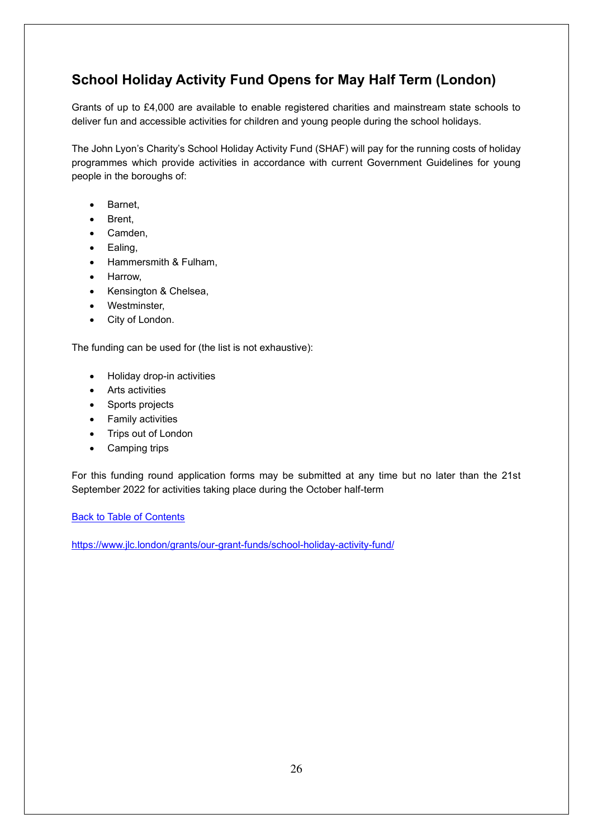## <span id="page-25-0"></span>**School Holiday Activity Fund Opens for May Half Term (London)**

Grants of up to £4,000 are available to enable registered charities and mainstream state schools to deliver fun and accessible activities for children and young people during the school holidays.

The John Lyon's Charity's School Holiday Activity Fund (SHAF) will pay for the running costs of holiday programmes which provide activities in accordance with current Government Guidelines for young people in the boroughs of:

- Barnet,
- Brent,
- Camden,
- Ealing,
- Hammersmith & Fulham,
- Harrow,
- Kensington & Chelsea,
- Westminster,
- City of London.

The funding can be used for (the list is not exhaustive):

- Holiday drop-in activities
- Arts activities
- Sports projects
- Family activities
- Trips out of London
- Camping trips

For this funding round application forms may be submitted at any time but no later than the 21st September 2022 for activities taking place during the October half-term

**[Back to Table of Contents](file:///C:/Users/trici/Documents/Funding%20Insight%20Newsletter%206th%20April%202021.docx%23TOC)** 

<https://www.jlc.london/grants/our-grant-funds/school-holiday-activity-fund/>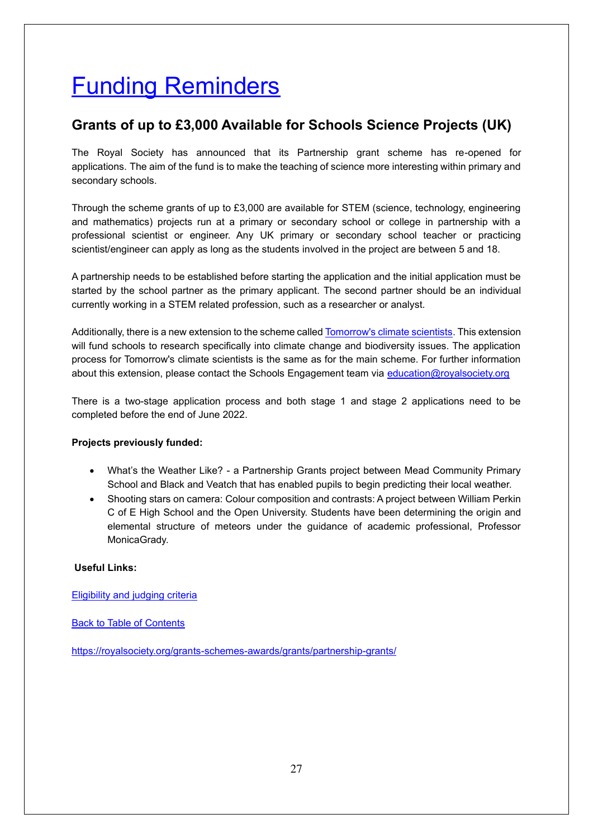# <span id="page-26-0"></span>Funding Reminders

## <span id="page-26-1"></span>**Grants of up to £3,000 Available for Schools Science Projects (UK)**

The Royal Society has announced that its Partnership grant scheme has re-opened for applications. The aim of the fund is to make the teaching of science more interesting within primary and secondary schools.

Through the scheme grants of up to £3,000 are available for STEM (science, technology, engineering and mathematics) projects run at a primary or secondary school or college in partnership with a professional scientist or engineer. Any UK primary or secondary school teacher or practicing scientist/engineer can apply as long as the students involved in the project are between 5 and 18.

A partnership needs to be established before starting the application and the initial application must be started by the school partner as the primary applicant. The second partner should be an individual currently working in a STEM related profession, such as a researcher or analyst.

Additionally, there is a new extension to the scheme calle[d Tomorrow's climate scientists.](https://royalsociety.org/grants-schemes-awards/grants/partnership-grants/tomorrows-climate-scientists/) This extension will fund schools to research specifically into climate change and biodiversity issues. The application process for Tomorrow's climate scientists is the same as for the main scheme. For further information about this extension, please contact the Schools Engagement team via [education@royalsociety.org](mailto:education@royalsociety.org)

There is a two-stage application process and both stage 1 and stage 2 applications need to be completed before the end of June 2022.

#### **Projects previously funded:**

- What's the Weather Like? a Partnership Grants project between Mead Community Primary School and Black and Veatch that has enabled pupils to begin predicting their local weather.
- Shooting stars on camera: Colour composition and contrasts: A project between William Perkin C of E High School and the Open University. Students have been determining the origin and elemental structure of meteors under the guidance of academic professional, Professor MonicaGrady.

#### **Useful Links:**

[Eligibility and judging criteria](https://royalsociety.org/grants-schemes-awards/grants/partnership-grants/eligibility-and-judging-criteria)

[Back to Table of Contents](file:///C:/Users/trici/Documents/Funding%20Insight%20Newsletter%206th%20April%202021.docx%23TOC)

<https://royalsociety.org/grants-schemes-awards/grants/partnership-grants/>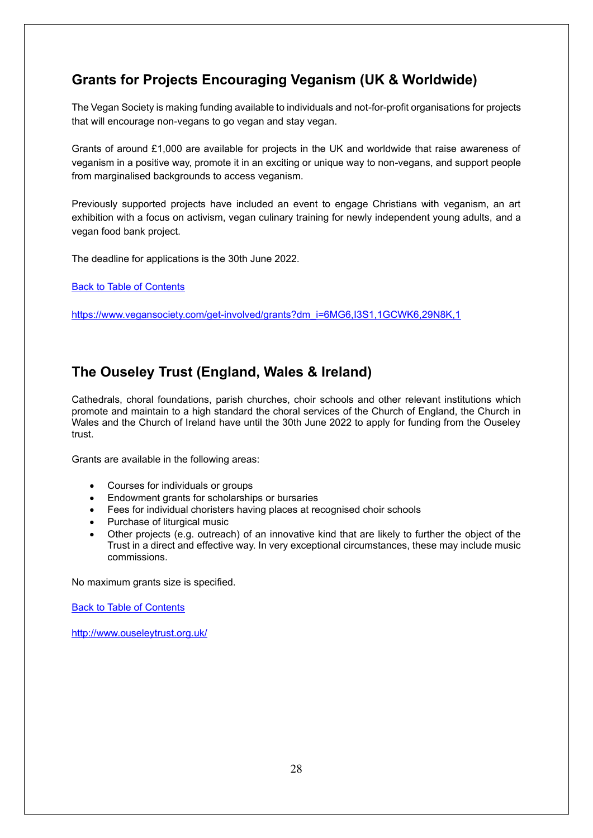## <span id="page-27-0"></span>**Grants for Projects Encouraging Veganism (UK & Worldwide)**

The Vegan Society is making funding available to individuals and not-for-profit organisations for projects that will encourage non-vegans to go vegan and stay vegan.

Grants of around £1,000 are available for projects in the UK and worldwide that raise awareness of veganism in a positive way, promote it in an exciting or unique way to non-vegans, and support people from marginalised backgrounds to access veganism.

Previously supported projects have included an event to engage Christians with veganism, an art exhibition with a focus on activism, vegan culinary training for newly independent young adults, and a vegan food bank project. 

The deadline for applications is the 30th June 2022.

[Back to Table of Contents](file:///C:/Users/trici/Documents/Funding%20Insight%20Newsletter%206th%20April%202021.docx%23TOC)

[https://www.vegansociety.com/get-involved/grants?dm\\_i=6MG6,I3S1,1GCWK6,29N8K,1](https://www.vegansociety.com/get-involved/grants?dm_i=6MG6,I3S1,1GCWK6,29N8K,1)

#### <span id="page-27-1"></span>**The Ouseley Trust (England, Wales & Ireland)**

Cathedrals, choral foundations, parish churches, choir schools and other relevant institutions which promote and maintain to a high standard the choral services of the Church of England, the Church in Wales and the Church of Ireland have until the 30th June 2022 to apply for funding from the Ouseley trust.

Grants are available in the following areas:

- Courses for individuals or groups
- Endowment grants for scholarships or bursaries
- Fees for individual choristers having places at recognised choir schools
- Purchase of liturgical music
- Other projects (e.g. outreach) of an innovative kind that are likely to further the object of the Trust in a direct and effective way. In very exceptional circumstances, these may include music commissions.

No maximum grants size is specified.

[Back to Table of Contents](file:///C:/Users/trici/Documents/Funding%20Insight%20Newsletter%206th%20April%202021.docx%23TOC)

<http://www.ouseleytrust.org.uk/>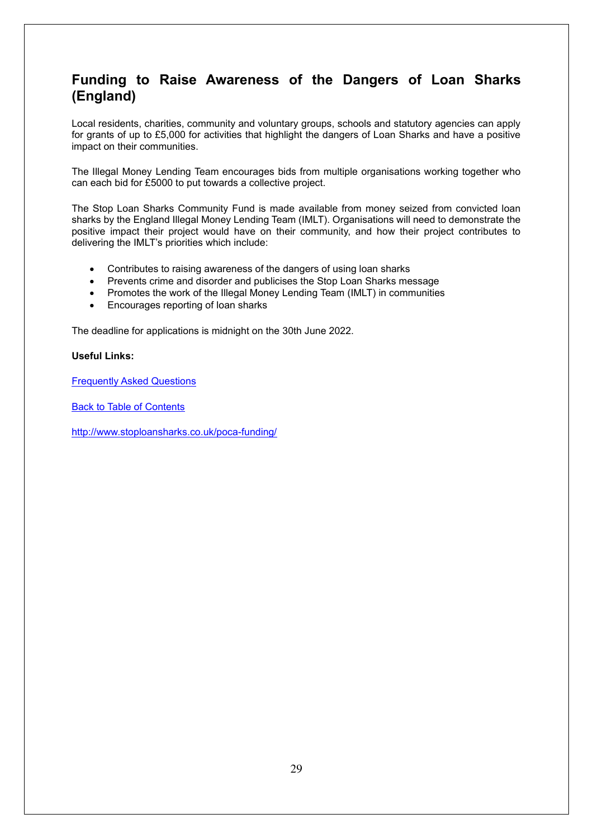#### <span id="page-28-0"></span>**Funding to Raise Awareness of the Dangers of Loan Sharks (England)**

Local residents, charities, community and voluntary groups, schools and statutory agencies can apply for grants of up to £5,000 for activities that highlight the dangers of Loan Sharks and have a positive impact on their communities.

The Illegal Money Lending Team encourages bids from multiple organisations working together who can each bid for £5000 to put towards a collective project.

The Stop Loan Sharks Community Fund is made available from money seized from convicted loan sharks by the England Illegal Money Lending Team (IMLT). Organisations will need to demonstrate the positive impact their project would have on their community, and how their project contributes to delivering the IMLT's priorities which include:

- Contributes to raising awareness of the dangers of using loan sharks
- Prevents crime and disorder and publicises the Stop Loan Sharks message
- Promotes the work of the Illegal Money Lending Team (IMLT) in communities
- Encourages reporting of loan sharks

The deadline for applications is midnight on the 30th June 2022.

#### **Useful Links:**

**[Frequently Asked Questions](https://www.stoploansharks.co.uk/wp-content/uploads/2022/03/Stop-Loan-Sharks-Community-Fund-frequently-asked-questions.doc)** 

[Back to Table of Contents](file:///C:/Users/trici/Documents/Funding%20Insight%20Newsletter%206th%20April%202021.docx%23TOC)

<http://www.stoploansharks.co.uk/poca-funding/>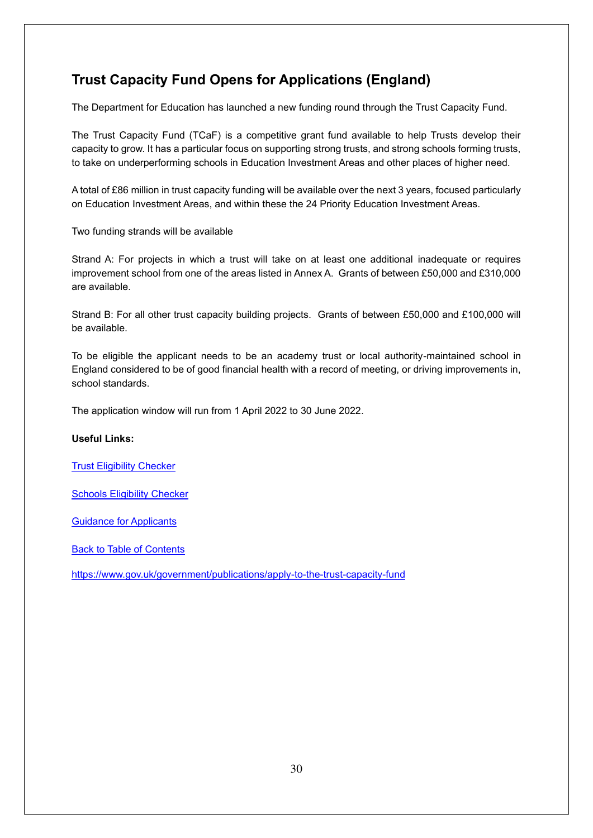## <span id="page-29-0"></span>**Trust Capacity Fund Opens for Applications (England)**

The Department for Education has launched a new funding round through the Trust Capacity Fund.

The Trust Capacity Fund (TCaF) is a competitive grant fund available to help Trusts develop their capacity to grow. It has a particular focus on supporting strong trusts, and strong schools forming trusts, to take on underperforming schools in Education Investment Areas and other places of higher need.

A total of £86 million in trust capacity funding will be available over the next 3 years, focused particularly on Education Investment Areas, and within these the 24 Priority Education Investment Areas.

Two funding strands will be available

Strand A: For projects in which a trust will take on at least one additional inadequate or requires improvement school from one of the areas listed in Annex A. Grants of between £50,000 and £310,000 are available.

Strand B: For all other trust capacity building projects. Grants of between £50,000 and £100,000 will be available.

To be eligible the applicant needs to be an academy trust or local authority-maintained school in England considered to be of good financial health with a record of meeting, or driving improvements in, school standards.

The application window will run from 1 April 2022 to 30 June 2022.

#### **Useful Links:**

[Trust Eligibility Checker](https://assets.publishing.service.gov.uk/government/uploads/system/uploads/attachment_data/file/1063255/20220304_TCAF_eligibility_checker_trusts.xlsx)

**[Schools Eligibility Checker](https://assets.publishing.service.gov.uk/government/uploads/system/uploads/attachment_data/file/1063256/20220304_TCAF_eligibility_checker_schools.xlsx)** 

[Guidance for Applicants](https://assets.publishing.service.gov.uk/government/uploads/system/uploads/attachment_data/file/1063270/TCaF_information_for_applicants_22-23.pdf)

[Back to Table of Contents](file:///C:/Users/trici/Documents/Funding%20Insight%20Newsletter%206th%20April%202021.docx%23TOC)

<https://www.gov.uk/government/publications/apply-to-the-trust-capacity-fund>